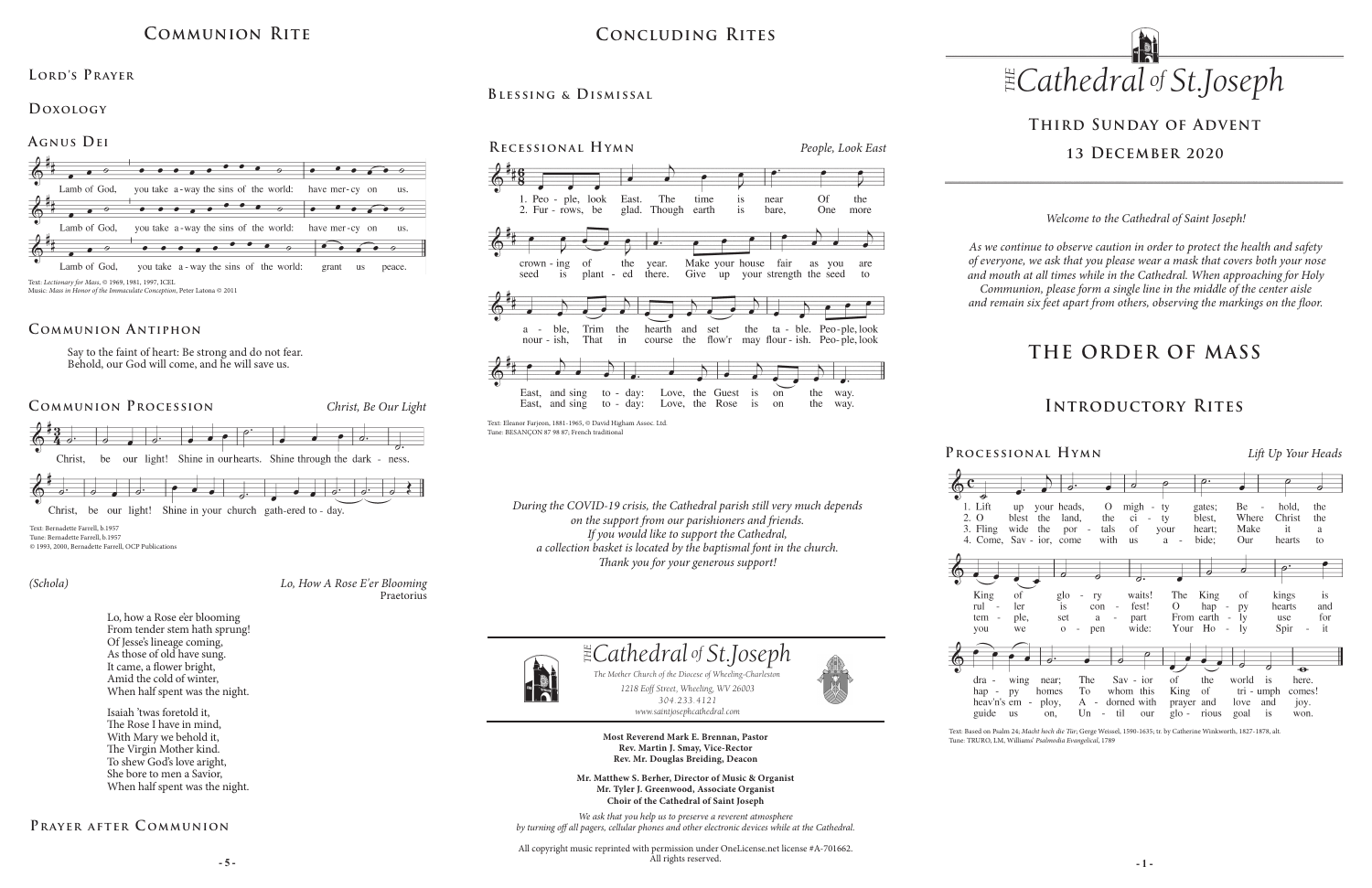# **THE ORDER OF MASS**



*1218 Eoff Street, Wheeling, WV 26003 304.233.4121 304.233.4121*

*www.saintjosephcathedral.com*





*www.saintjosephcathedral.com*

**Most Reverend Mark E. Brennan, Pastor Rev. Martin J. Smay, Vice-Rector Rev. Mr. Douglas Breiding, Deacon**

**- 5 - - 1 -** All copyright music reprinted with permission under OneLicense.net license #A-701662. All rights reserved.

1. Lift 2. O 3. Fling







**Mr. Matthew S. Berher, Director of Music & Organist Mr. Tyler J. Greenwood, Associate Organist Choir of the Cathedral of Saint Joseph**

*We ask that you help us to preserve a reverent atmosphere by turning off all pagers, cellular phones and other electronic devices while at the Cathedral.*

## **Introductory Rites**

*Welcome to the Cathedral of Saint Joseph!*

*As we continue to observe caution in order to protect the health and safety of everyone, we ask that you please wear a mask that covers both your nose and mouth at all times while in the Cathedral. When approaching for Holy Communion, please form a single line in the middle of the center aisle and remain six feet apart from others, observing the markings on the floor.* 

## **Third Sunday of Advent 13 December 2020**

## **Communion Rite**

### **Lord's Prayer**

### **Doxology**

### **Agnus Dei**  $\bullet\hspace{0.1cm}\bullet\hspace{0.1cm}\bullet\hspace{0.1cm}$  $\bullet \bullet \bullet \bullet$  $\bullet\hspace{0.1cm}\bullet\hspace{0.1cm}\bullet\hspace{0.1cm}\bullet\hspace{0.1cm}\bullet\hspace{0.1cm}\bullet$ Lamb of God. you take a-way the sins of the world: have mer-cy on  $\overline{u}$ s.  $\bullet$   $\bullet$   $\bullet$  $\bullet \bullet \bullet \bullet \bullet$  $\bullet\bullet\bullet\bullet$ Lamb of God, you take a-way the sins of the world: have mer-cy on  $\overline{\mathbf{u}}$ Lamb of God, you take a - way the sins of the world: grant us peace. Text: *Lectionary for Mass*, © 1969, 1981, 1997, ICEL

Music: *Mass in Honor of the Immaculate Conception*, Peter Latona © 2011

## **Concluding Rites**

**Blessing & Dismissal**

**Processional Hymn** *Lift Up Your Heads*

## **Communion Procession** *Christ, Be Our Light*





Christ, be our light! Shine in your church gath-ered to - day.

### **Communion Antiphon**

Say to the faint of heart: Be strong and do not fear. Behold, our God will come, and he will save us.

Text: Bernadette Farrell, b.1957 Tune: Bernadette Farrell, b.1957 © 1993, 2000, Bernadette Farrell, OCP Publications

> *Lo, How A Rose E'er Blooming* Praetorius

*(Schola)*

Lo, how a Rose e'er blooming From tender stem hath sprung! Of Jesse's lineage coming, As those of old have sung. It came, a flower bright, Amid the cold of winter, When half spent was the night.

Isaiah 'twas foretold it, The Rose I have in mind, With Mary we behold it, The Virgin Mother kind. To shew God's love aright, She bore to men a Savior, When half spent was the night.

## **Prayer after C ommunion**

*During the COVID-19 crisis, the Cathedral parish still very much depends on the support from our parishioners and friends. If you would like to support the Cathedral, a collection basket is located by the baptismal font in the church. Thank you for your generous support!*

> Text: Based on Psalm 24; *Macht hoch die Tür*; Gerge Weissel, 1590-1635; tr. by Catherine Winkworth, 1827-1878, alt. Tune: TRURO, LM, Williams' *Psalmodia Evangelical*, 1789



Text: Eleanor Farjeon, 1881-1965, © David Higham Assoc. Ltd. Tune: BESANÇON 87 98 87; French traditional